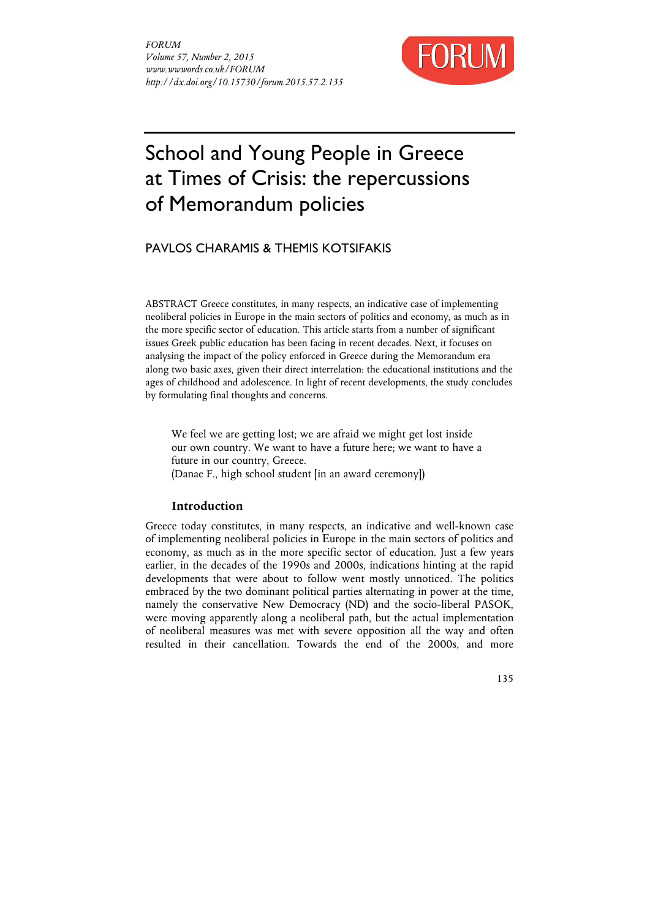

# School and Young People in Greece at Times of Crisis: the repercussions of Memorandum policies

PAVLOS CHARAMIS & THEMIS KOTSIFAKIS

ABSTRACT Greece constitutes, in many respects, an indicative case of implementing neoliberal policies in Εurope in the main sectors of politics and economy, as much as in the more specific sector of education. This article starts from a number of significant issues Greek public education has been facing in recent decades. Next, it focuses on analysing the impact of the policy enforced in Greece during the Memorandum era along two basic axes, given their direct interrelation: the educational institutions and the ages of childhood and adolescence. In light of recent developments, the study concludes by formulating final thoughts and concerns.

We feel we are getting lost; we are afraid we might get lost inside our own country. We want to have a future here; we want to have a future in our country, Greece. (Danae F., high school student [in an award ceremony])

# **Introduction**

Greece today constitutes, in many respects, an indicative and well-known case of implementing neoliberal policies in Europe in the main sectors of politics and economy, as much as in the more specific sector of education. Just a few years earlier, in the decades of the 1990s and 2000s, indications hinting at the rapid developments that were about to follow went mostly unnoticed. The politics embraced by the two dominant political parties alternating in power at the time, namely the conservative New Democracy (ND) and the socio-liberal PASOK, were moving apparently along a neoliberal path, but the actual implementation of neoliberal measures was met with severe opposition all the way and often resulted in their cancellation. Towards the end of the 2000s, and more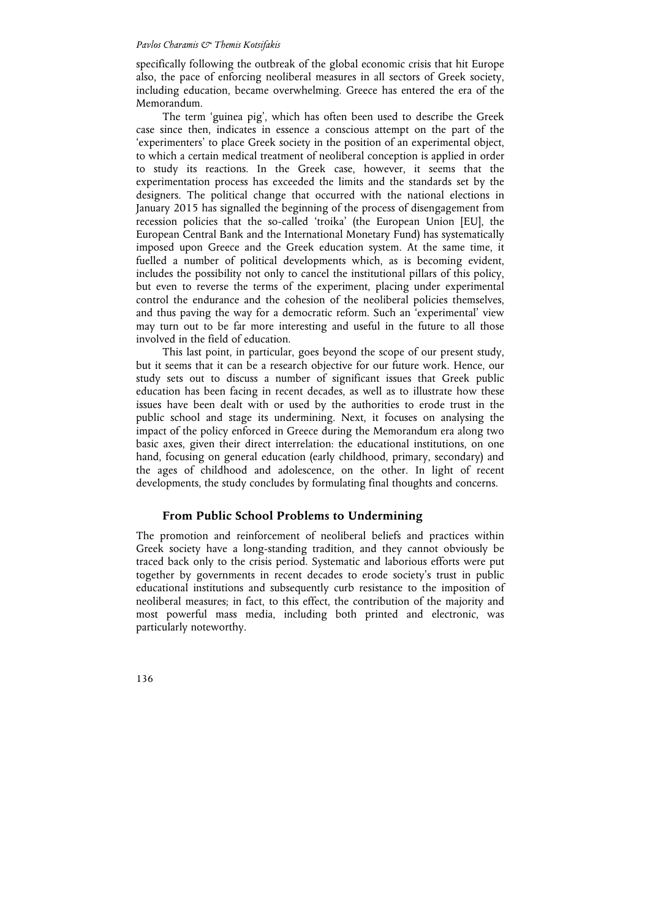specifically following the outbreak of the global economic crisis that hit Europe also, the pace of enforcing neoliberal measures in all sectors of Greek society, including education, became overwhelming. Greece has entered the era of the Memorandum.

The term 'guinea pig', which has often been used to describe the Greek case since then, indicates in essence a conscious attempt on the part of the 'experimenters' to place Greek society in the position of an experimental object, to which a certain medical treatment of neoliberal conception is applied in order to study its reactions. In the Greek case, however, it seems that the experimentation process has exceeded the limits and the standards set by the designers. The political change that occurred with the national elections in January 2015 has signalled the beginning of the process of disengagement from recession policies that the so-called 'troika' (the European Union [EU], the European Central Bank and the International Monetary Fund) has systematically imposed upon Greece and the Greek education system. At the same time, it fuelled a number of political developments which, as is becoming evident, includes the possibility not only to cancel the institutional pillars of this policy, but even to reverse the terms of the experiment, placing under experimental control the endurance and the cohesion of the neoliberal policies themselves, and thus paving the way for a democratic reform. Such an 'experimental' view may turn out to be far more interesting and useful in the future to all those involved in the field of education.

This last point, in particular, goes beyond the scope of our present study, but it seems that it can be a research objective for our future work. Hence, our study sets out to discuss a number of significant issues that Greek public education has been facing in recent decades, as well as to illustrate how these issues have been dealt with or used by the authorities to erode trust in the public school and stage its undermining. Next, it focuses on analysing the impact of the policy enforced in Greece during the Memorandum era along two basic axes, given their direct interrelation: the educational institutions, on one hand, focusing on general education (early childhood, primary, secondary) and the ages of childhood and adolescence, on the other. In light of recent developments, the study concludes by formulating final thoughts and concerns.

# **From Public School Problems to Undermining**

The promotion and reinforcement of neoliberal beliefs and practices within Greek society have a long-standing tradition, and they cannot obviously be traced back only to the crisis period. Systematic and laborious efforts were put together by governments in recent decades to erode society's trust in public educational institutions and subsequently curb resistance to the imposition of neoliberal measures; in fact, to this effect, the contribution of the majority and most powerful mass media, including both printed and electronic, was particularly noteworthy.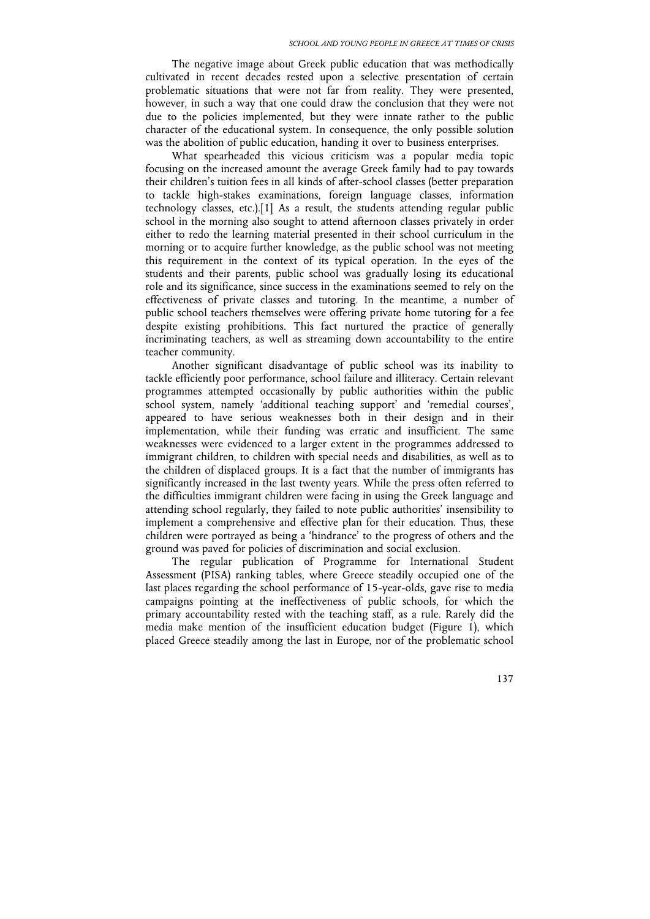The negative image about Greek public education that was methodically cultivated in recent decades rested upon a selective presentation of certain problematic situations that were not far from reality. They were presented, however, in such a way that one could draw the conclusion that they were not due to the policies implemented, but they were innate rather to the public character of the educational system. In consequence, the only possible solution was the abolition of public education, handing it over to business enterprises.

What spearheaded this vicious criticism was a popular media topic focusing on the increased amount the average Greek family had to pay towards their children's tuition fees in all kinds of after-school classes (better preparation to tackle high-stakes examinations, foreign language classes, information technology classes, etc.).[1] As a result, the students attending regular public school in the morning also sought to attend afternoon classes privately in order either to redo the learning material presented in their school curriculum in the morning or to acquire further knowledge, as the public school was not meeting this requirement in the context of its typical operation. In the eyes of the students and their parents, public school was gradually losing its educational role and its significance, since success in the examinations seemed to rely on the effectiveness of private classes and tutoring. In the meantime, a number of public school teachers themselves were offering private home tutoring for a fee despite existing prohibitions. This fact nurtured the practice of generally incriminating teachers, as well as streaming down accountability to the entire teacher community.

Another significant disadvantage of public school was its inability to tackle efficiently poor performance, school failure and illiteracy. Certain relevant programmes attempted occasionally by public authorities within the public school system, namely 'additional teaching support' and 'remedial courses', appeared to have serious weaknesses both in their design and in their implementation, while their funding was erratic and insufficient. The same weaknesses were evidenced to a larger extent in the programmes addressed to immigrant children, to children with special needs and disabilities, as well as to the children of displaced groups. It is a fact that the number of immigrants has significantly increased in the last twenty years. While the press often referred to the difficulties immigrant children were facing in using the Greek language and attending school regularly, they failed to note public authorities' insensibility to implement a comprehensive and effective plan for their education. Thus, these children were portrayed as being a 'hindrance' to the progress of others and the ground was paved for policies of discrimination and social exclusion.

The regular publication of Programme for International Student Assessment (PISA) ranking tables, where Greece steadily occupied one of the last places regarding the school performance of 15-year-olds, gave rise to media campaigns pointing at the ineffectiveness of public schools, for which the primary accountability rested with the teaching staff, as a rule. Rarely did the media make mention of the insufficient education budget (Figure 1), which placed Greece steadily among the last in Europe, nor of the problematic school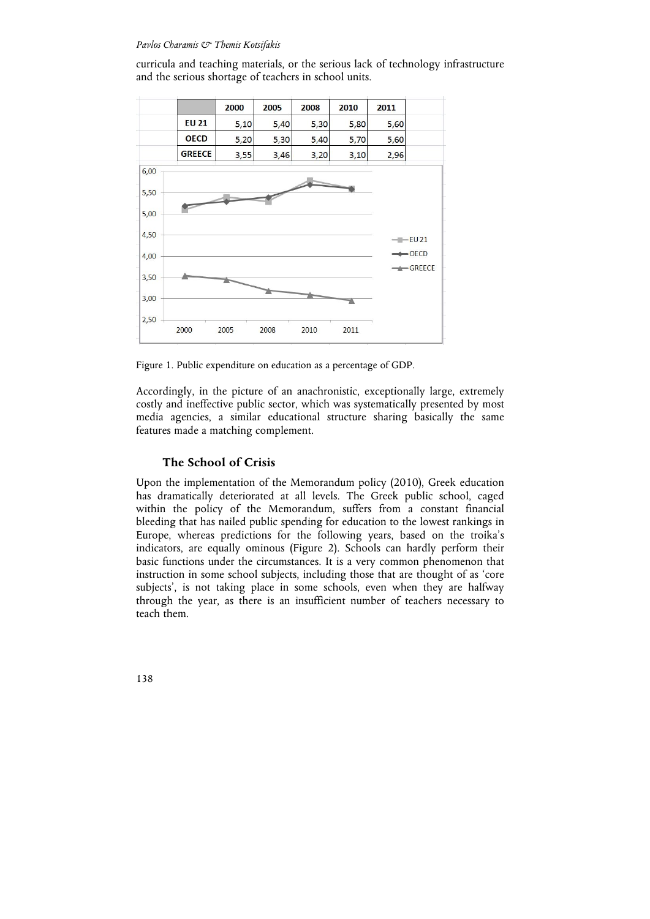curricula and teaching materials, or the serious lack of technology infrastructure and the serious shortage of teachers in school units.



Figure 1. Public expenditure on education as a percentage of GDP.

Accordingly, in the picture of an anachronistic, exceptionally large, extremely costly and ineffective public sector, which was systematically presented by most media agencies, a similar educational structure sharing basically the same features made a matching complement.

# **The School of Crisis**

Upon the implementation of the Memorandum policy (2010), Greek education has dramatically deteriorated at all levels. The Greek public school, caged within the policy of the Memorandum, suffers from a constant financial bleeding that has nailed public spending for education to the lowest rankings in Europe, whereas predictions for the following years, based on the troika's indicators, are equally ominous (Figure 2). Schools can hardly perform their basic functions under the circumstances. It is a very common phenomenon that instruction in some school subjects, including those that are thought of as 'core subjects', is not taking place in some schools, even when they are halfway through the year, as there is an insufficient number of teachers necessary to teach them.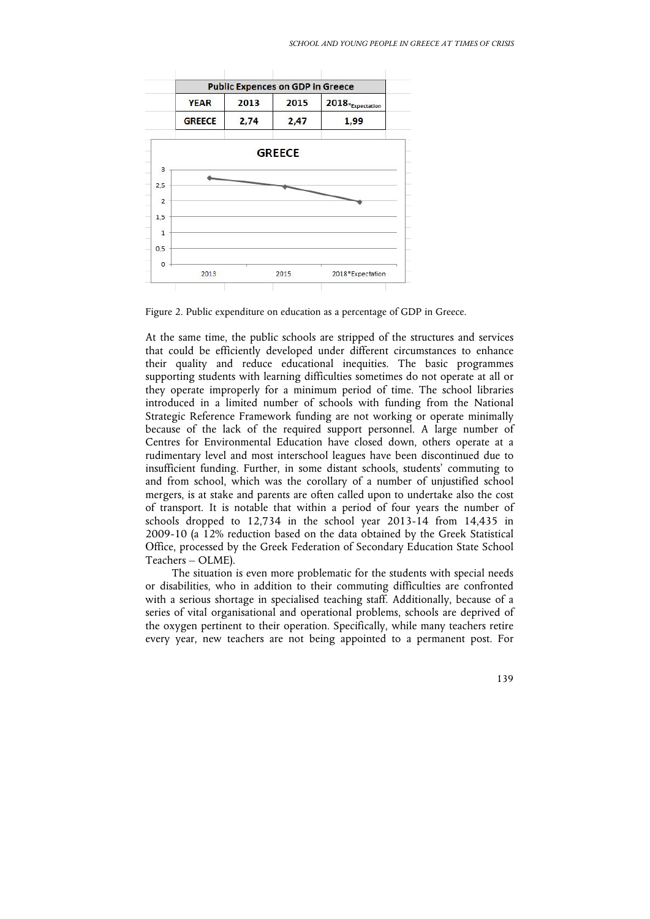

Figure 2. Public expenditure on education as a percentage of GDP in Greece.

At the same time, the public schools are stripped of the structures and services that could be efficiently developed under different circumstances to enhance their quality and reduce educational inequities. The basic programmes supporting students with learning difficulties sometimes do not operate at all or they operate improperly for a minimum period of time. The school libraries introduced in a limited number of schools with funding from the National Strategic Reference Framework funding are not working or operate minimally because of the lack of the required support personnel. A large number of Centres for Environmental Education have closed down, others operate at a rudimentary level and most interschool leagues have been discontinued due to insufficient funding. Further, in some distant schools, students' commuting to and from school, which was the corollary of a number of unjustified school mergers, is at stake and parents are often called upon to undertake also the cost of transport. It is notable that within a period of four years the number of schools dropped to 12,734 in the school year 2013-14 from 14,435 in 2009-10 (a 12% reduction based on the data obtained by the Greek Statistical Office, processed by the Greek Federation of Secondary Education State School Teachers – OLME).

The situation is even more problematic for the students with special needs or disabilities, who in addition to their commuting difficulties are confronted with a serious shortage in specialised teaching staff. Additionally, because of a series of vital organisational and operational problems, schools are deprived of the oxygen pertinent to their operation. Specifically, while many teachers retire every year, new teachers are not being appointed to a permanent post. For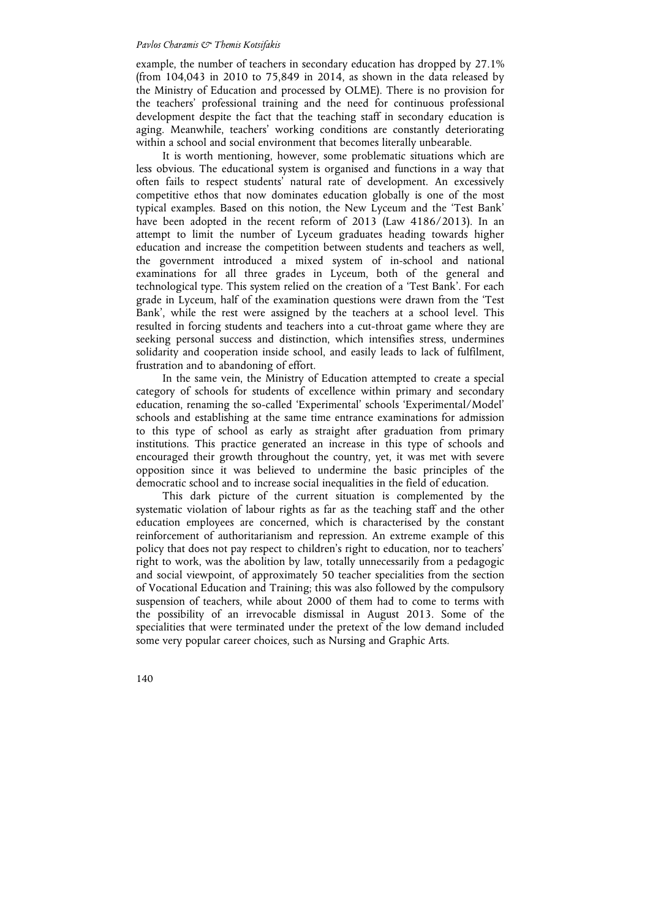example, the number of teachers in secondary education has dropped by 27.1% (from 104,043 in 2010 to 75,849 in 2014, as shown in the data released by the Ministry of Education and processed by OLME). There is no provision for the teachers' professional training and the need for continuous professional development despite the fact that the teaching staff in secondary education is aging. Meanwhile, teachers' working conditions are constantly deteriorating within a school and social environment that becomes literally unbearable.

It is worth mentioning, however, some problematic situations which are less obvious. The educational system is organised and functions in a way that often fails to respect students' natural rate of development. An excessively competitive ethos that now dominates education globally is one of the most typical examples. Based on this notion, the New Lyceum and the 'Test Bank' have been adopted in the recent reform of 2013 (Law 4186/2013). In an attempt to limit the number of Lyceum graduates heading towards higher education and increase the competition between students and teachers as well, the government introduced a mixed system of in-school and national examinations for all three grades in Lyceum, both of the general and technological type. This system relied on the creation of a 'Test Bank'. For each grade in Lyceum, half of the examination questions were drawn from the 'Test Bank', while the rest were assigned by the teachers at a school level. This resulted in forcing students and teachers into a cut-throat game where they are seeking personal success and distinction, which intensifies stress, undermines solidarity and cooperation inside school, and easily leads to lack of fulfilment, frustration and to abandoning of effort.

In the same vein, the Ministry of Education attempted to create a special category of schools for students of excellence within primary and secondary education, renaming the so-called 'Experimental' schools 'Experimental/Model' schools and establishing at the same time entrance examinations for admission to this type of school as early as straight after graduation from primary institutions. This practice generated an increase in this type of schools and encouraged their growth throughout the country, yet, it was met with severe opposition since it was believed to undermine the basic principles of the democratic school and to increase social inequalities in the field of education.

This dark picture of the current situation is complemented by the systematic violation of labour rights as far as the teaching staff and the other education employees are concerned, which is characterised by the constant reinforcement of authoritarianism and repression. An extreme example of this policy that does not pay respect to children's right to education, nor to teachers' right to work, was the abolition by law, totally unnecessarily from a pedagogic and social viewpoint, of approximately 50 teacher specialities from the section of Vocational Education and Training; this was also followed by the compulsory suspension of teachers, while about 2000 of them had to come to terms with the possibility of an irrevocable dismissal in August 2013. Some of the specialities that were terminated under the pretext of the low demand included some very popular career choices, such as Nursing and Graphic Arts.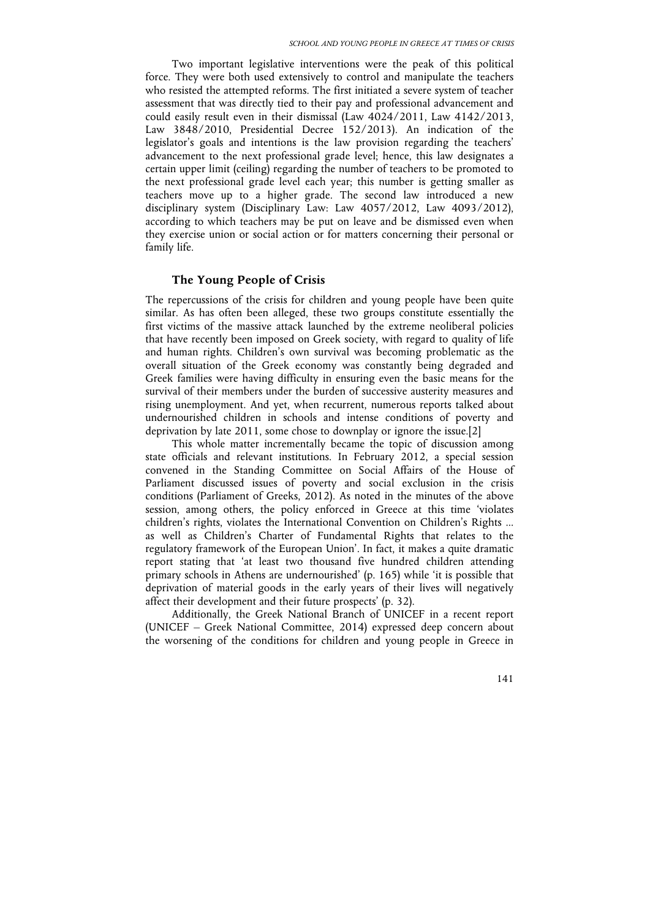Two important legislative interventions were the peak of this political force. They were both used extensively to control and manipulate the teachers who resisted the attempted reforms. The first initiated a severe system of teacher assessment that was directly tied to their pay and professional advancement and could easily result even in their dismissal (Law 4024/2011, Law 4142/2013, Law 3848/2010, Presidential Decree 152/2013). An indication of the legislator's goals and intentions is the law provision regarding the teachers' advancement to the next professional grade level; hence, this law designates a certain upper limit (ceiling) regarding the number of teachers to be promoted to the next professional grade level each year; this number is getting smaller as teachers move up to a higher grade. The second law introduced a new disciplinary system (Disciplinary Law: Law 4057/2012, Law 4093/2012), according to which teachers may be put on leave and be dismissed even when they exercise union or social action or for matters concerning their personal or family life.

# **The Young People of Crisis**

The repercussions of the crisis for children and young people have been quite similar. As has often been alleged, these two groups constitute essentially the first victims of the massive attack launched by the extreme neoliberal policies that have recently been imposed on Greek society, with regard to quality of life and human rights. Children's own survival was becoming problematic as the overall situation of the Greek economy was constantly being degraded and Greek families were having difficulty in ensuring even the basic means for the survival of their members under the burden of successive austerity measures and rising unemployment. And yet, when recurrent, numerous reports talked about undernourished children in schools and intense conditions of poverty and deprivation by late 2011, some chose to downplay or ignore the issue.[2]

This whole matter incrementally became the topic of discussion among state officials and relevant institutions. In February 2012, a special session convened in the Standing Committee on Social Affairs of the House of Parliament discussed issues of poverty and social exclusion in the crisis conditions (Parliament of Greeks, 2012). As noted in the minutes of the above session, among others, the policy enforced in Greece at this time 'violates children's rights, violates the International Convention on Children's Rights ... as well as Children's Charter of Fundamental Rights that relates to the regulatory framework of the European Union'. In fact, it makes a quite dramatic report stating that 'at least two thousand five hundred children attending primary schools in Athens are undernourished' (p. 165) while 'it is possible that deprivation of material goods in the early years of their lives will negatively affect their development and their future prospects' (p. 32).

Additionally, the Greek National Branch of UNICEF in a recent report (UNICEF – Greek National Committee, 2014) expressed deep concern about the worsening of the conditions for children and young people in Greece in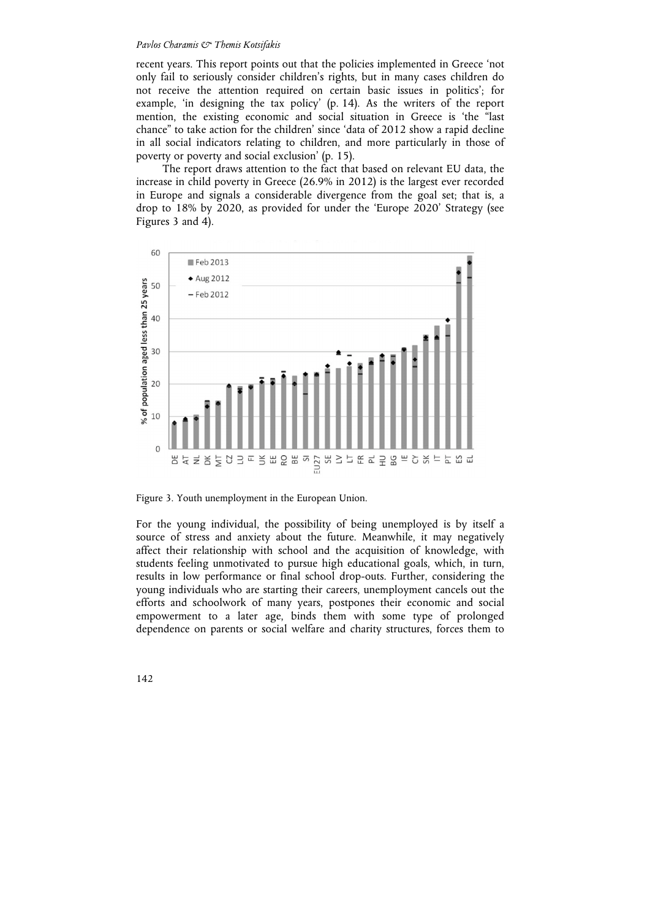recent years. This report points out that the policies implemented in Greece 'not only fail to seriously consider children's rights, but in many cases children do not receive the attention required on certain basic issues in politics'; for example, 'in designing the tax policy' (p. 14). As the writers of the report mention, the existing economic and social situation in Greece is 'the "last chance" to take action for the children' since 'data of 2012 show a rapid decline in all social indicators relating to children, and more particularly in those of poverty or poverty and social exclusion' (p. 15).

The report draws attention to the fact that based on relevant EU data, the increase in child poverty in Greece (26.9% in 2012) is the largest ever recorded in Europe and signals a considerable divergence from the goal set; that is, a drop to 18% by 2020, as provided for under the 'Europe 2020' Strategy (see Figures 3 and 4).



Figure 3. Youth unemployment in the European Union.

For the young individual, the possibility of being unemployed is by itself a source of stress and anxiety about the future. Meanwhile, it may negatively affect their relationship with school and the acquisition of knowledge, with students feeling unmotivated to pursue high educational goals, which, in turn, results in low performance or final school drop-outs. Further, considering the young individuals who are starting their careers, unemployment cancels out the efforts and schoolwork of many years, postpones their economic and social empowerment to a later age, binds them with some type of prolonged dependence on parents or social welfare and charity structures, forces them to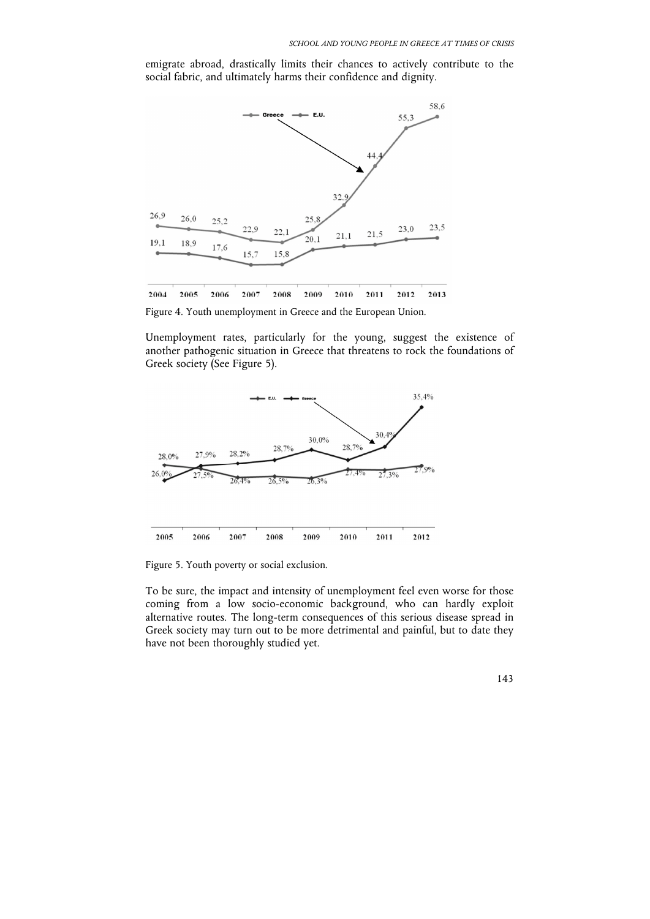emigrate abroad, drastically limits their chances to actively contribute to the social fabric, and ultimately harms their confidence and dignity.



Figure 4. Youth unemployment in Greece and the European Union.

Unemployment rates, particularly for the young, suggest the existence of another pathogenic situation in Greece that threatens to rock the foundations of Greek society (See Figure 5).



Figure 5. Youth poverty or social exclusion.

To be sure, the impact and intensity of unemployment feel even worse for those coming from a low socio-economic background, who can hardly exploit alternative routes. The long-term consequences of this serious disease spread in Greek society may turn out to be more detrimental and painful, but to date they have not been thoroughly studied yet.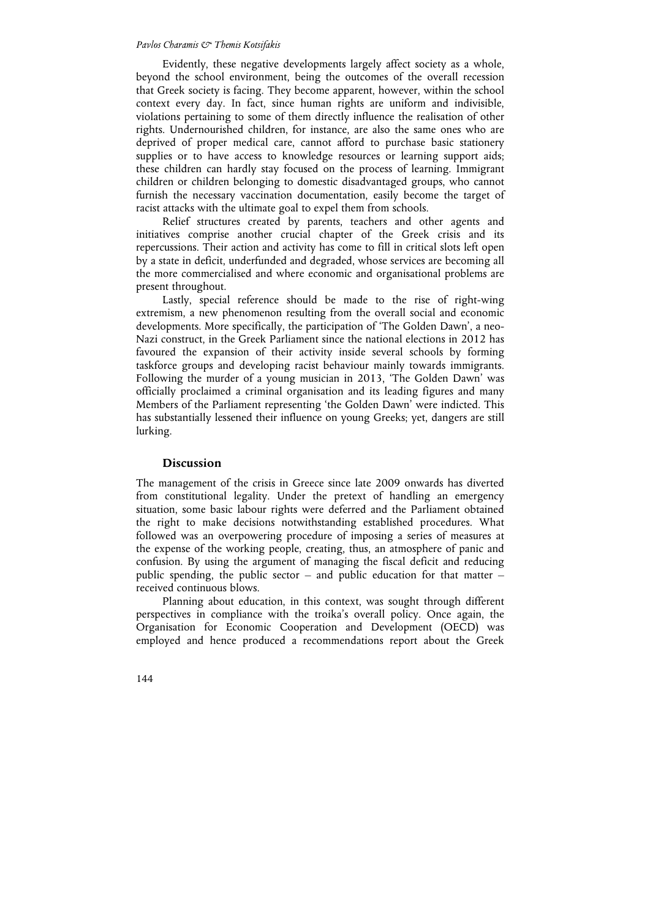Evidently, these negative developments largely affect society as a whole, beyond the school environment, being the outcomes of the overall recession that Greek society is facing. They become apparent, however, within the school context every day. In fact, since human rights are uniform and indivisible, violations pertaining to some of them directly influence the realisation of other rights. Undernourished children, for instance, are also the same ones who are deprived of proper medical care, cannot afford to purchase basic stationery supplies or to have access to knowledge resources or learning support aids; these children can hardly stay focused on the process of learning. Immigrant children or children belonging to domestic disadvantaged groups, who cannot furnish the necessary vaccination documentation, easily become the target of racist attacks with the ultimate goal to expel them from schools.

Relief structures created by parents, teachers and other agents and initiatives comprise another crucial chapter of the Greek crisis and its repercussions. Their action and activity has come to fill in critical slots left open by a state in deficit, underfunded and degraded, whose services are becoming all the more commercialised and where economic and organisational problems are present throughout.

Lastly, special reference should be made to the rise of right-wing extremism, a new phenomenon resulting from the overall social and economic developments. More specifically, the participation of 'The Golden Dawn', a neo-Nazi construct, in the Greek Parliament since the national elections in 2012 has favoured the expansion of their activity inside several schools by forming taskforce groups and developing racist behaviour mainly towards immigrants. Following the murder of a young musician in 2013, 'The Golden Dawn' was officially proclaimed a criminal organisation and its leading figures and many Members of the Parliament representing 'the Golden Dawn' were indicted. This has substantially lessened their influence on young Greeks; yet, dangers are still lurking.

# **Discussion**

The management of the crisis in Greece since late 2009 onwards has diverted from constitutional legality. Under the pretext of handling an emergency situation, some basic labour rights were deferred and the Parliament obtained the right to make decisions notwithstanding established procedures. What followed was an overpowering procedure of imposing a series of measures at the expense of the working people, creating, thus, an atmosphere of panic and confusion. By using the argument of managing the fiscal deficit and reducing public spending, the public sector  $-$  and public education for that matter  $$ received continuous blows.

Planning about education, in this context, was sought through different perspectives in compliance with the troika's overall policy. Once again, the Organisation for Economic Cooperation and Development (OECD) was employed and hence produced a recommendations report about the Greek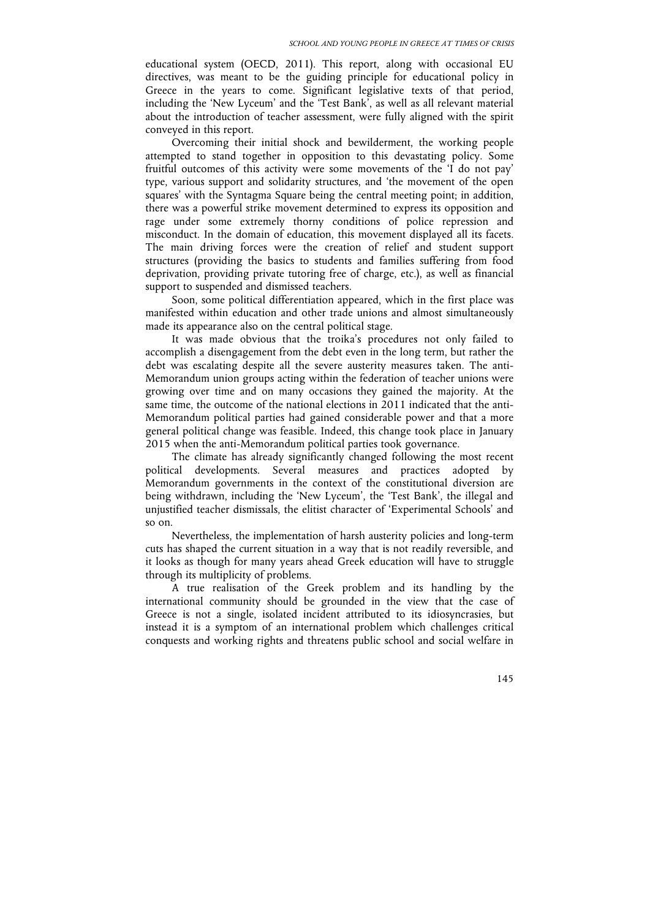educational system (OECD, 2011). This report, along with occasional EU directives, was meant to be the guiding principle for educational policy in Greece in the years to come. Significant legislative texts of that period, including the 'New Lyceum' and the 'Test Bank', as well as all relevant material about the introduction of teacher assessment, were fully aligned with the spirit conveyed in this report.

Overcoming their initial shock and bewilderment, the working people attempted to stand together in opposition to this devastating policy. Some fruitful outcomes of this activity were some movements of the 'I do not pay' type, various support and solidarity structures, and 'the movement of the open squares' with the Syntagma Square being the central meeting point; in addition, there was a powerful strike movement determined to express its opposition and rage under some extremely thorny conditions of police repression and misconduct. In the domain of education, this movement displayed all its facets. The main driving forces were the creation of relief and student support structures (providing the basics to students and families suffering from food deprivation, providing private tutoring free of charge, etc.), as well as financial support to suspended and dismissed teachers.

Soon, some political differentiation appeared, which in the first place was manifested within education and other trade unions and almost simultaneously made its appearance also on the central political stage.

It was made obvious that the troika's procedures not only failed to accomplish a disengagement from the debt even in the long term, but rather the debt was escalating despite all the severe austerity measures taken. The anti-Memorandum union groups acting within the federation of teacher unions were growing over time and on many occasions they gained the majority. At the same time, the outcome of the national elections in 2011 indicated that the anti-Memorandum political parties had gained considerable power and that a more general political change was feasible. Indeed, this change took place in January 2015 when the anti-Memorandum political parties took governance.

The climate has already significantly changed following the most recent political developments. Several measures and practices adopted by Memorandum governments in the context of the constitutional diversion are being withdrawn, including the 'New Lyceum', the 'Test Bank', the illegal and unjustified teacher dismissals, the elitist character of 'Experimental Schools' and so on.

Nevertheless, the implementation of harsh austerity policies and long-term cuts has shaped the current situation in a way that is not readily reversible, and it looks as though for many years ahead Greek education will have to struggle through its multiplicity of problems.

A true realisation of the Greek problem and its handling by the international community should be grounded in the view that the case of Greece is not a single, isolated incident attributed to its idiosyncrasies, but instead it is a symptom of an international problem which challenges critical conquests and working rights and threatens public school and social welfare in